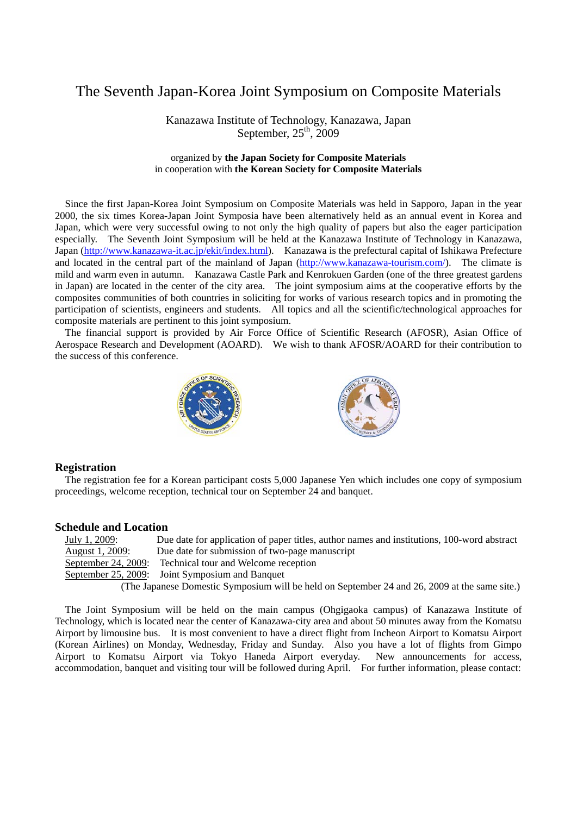## The Seventh Japan-Korea Joint Symposium on Composite Materials

Kanazawa Institute of Technology, Kanazawa, Japan September,  $25<sup>th</sup>$ , 2009

### organized by **the Japan Society for Composite Materials**  in cooperation with **the Korean Society for Composite Materials**

Since the first Japan-Korea Joint Symposium on Composite Materials was held in Sapporo, Japan in the year 2000, the six times Korea-Japan Joint Symposia have been alternatively held as an annual event in Korea and Japan, which were very successful owing to not only the high quality of papers but also the eager participation especially. The Seventh Joint Symposium will be held at the Kanazawa Institute of Technology in Kanazawa, Japan (http://www.kanazawa-it.ac.jp/ekit/index.html). Kanazawa is the prefectural capital of Ishikawa Prefecture and located in the central part of the mainland of Japan (http://www.kanazawa-tourism.com/). The climate is mild and warm even in autumn. Kanazawa Castle Park and Kenrokuen Garden (one of the three greatest gardens in Japan) are located in the center of the city area. The joint symposium aims at the cooperative efforts by the composites communities of both countries in soliciting for works of various research topics and in promoting the participation of scientists, engineers and students. All topics and all the scientific/technological approaches for composite materials are pertinent to this joint symposium.

The financial support is provided by Air Force Office of Scientific Research (AFOSR), Asian Office of Aerospace Research and Development (AOARD). We wish to thank AFOSR/AOARD for their contribution to the success of this conference.



#### **Registration**

The registration fee for a Korean participant costs 5,000 Japanese Yen which includes one copy of symposium proceedings, welcome reception, technical tour on September 24 and banquet.

#### **Schedule and Location**

| July 1, 2009:                                                                                 | Due date for application of paper titles, author names and institutions, 100-word abstract |
|-----------------------------------------------------------------------------------------------|--------------------------------------------------------------------------------------------|
| August 1, 2009:                                                                               | Due date for submission of two-page manuscript                                             |
| September 24, 2009:                                                                           | Technical tour and Welcome reception                                                       |
|                                                                                               | September 25, 2009: Joint Symposium and Banquet                                            |
| (The Japanese Domestic Symposium will be held on September 24 and 26, 2009 at the same site.) |                                                                                            |

The Joint Symposium will be held on the main campus (Ohgigaoka campus) of Kanazawa Institute of Technology, which is located near the center of Kanazawa-city area and about 50 minutes away from the Komatsu Airport by limousine bus. It is most convenient to have a direct flight from Incheon Airport to Komatsu Airport (Korean Airlines) on Monday, Wednesday, Friday and Sunday. Also you have a lot of flights from Gimpo Airport to Komatsu Airport via Tokyo Haneda Airport everyday. New announcements for access, accommodation, banquet and visiting tour will be followed during April. For further information, please contact: